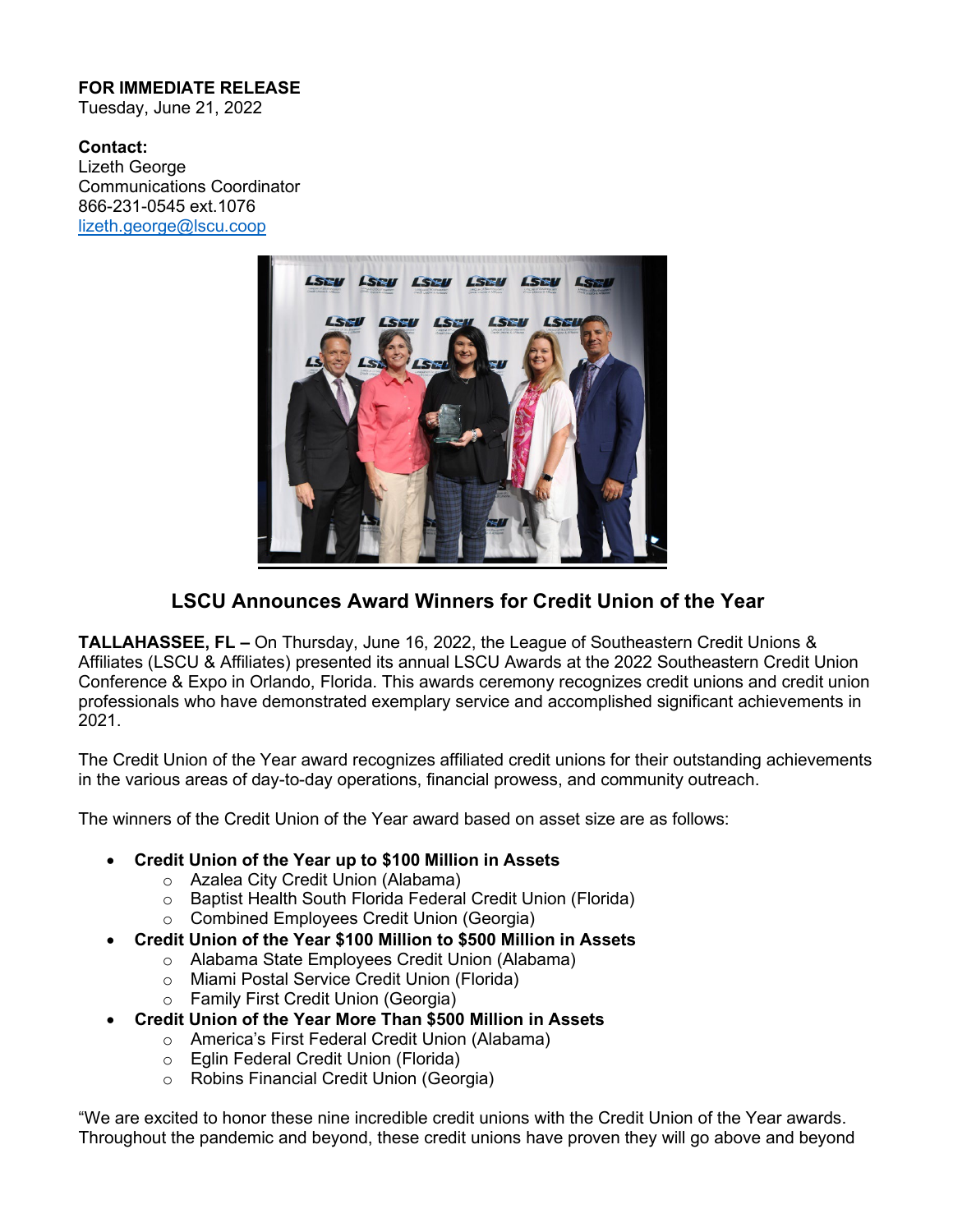## **FOR IMMEDIATE RELEASE**

Tuesday, June 21, 2022

**Contact:** Lizeth George Communications Coordinator 866-231-0545 ext.1076 [lizeth.george@lscu.coop](mailto:lizeth.george@lscu.coop)



## **LSCU Announces Award Winners for Credit Union of the Year**

**TALLAHASSEE, FL –** On Thursday, June 16, 2022, the League of Southeastern Credit Unions & Affiliates (LSCU & Affiliates) presented its annual LSCU Awards at the 2022 Southeastern Credit Union Conference & Expo in Orlando, Florida. This awards ceremony recognizes credit unions and credit union professionals who have demonstrated exemplary service and accomplished significant achievements in 2021.

The Credit Union of the Year award recognizes affiliated credit unions for their outstanding achievements in the various areas of day-to-day operations, financial prowess, and community outreach.

The winners of the Credit Union of the Year award based on asset size are as follows:

## • **Credit Union of the Year up to \$100 Million in Assets**

- o Azalea City Credit Union (Alabama)
- o Baptist Health South Florida Federal Credit Union (Florida)
- o Combined Employees Credit Union (Georgia)
- **Credit Union of the Year \$100 Million to \$500 Million in Assets**
	- o Alabama State Employees Credit Union (Alabama)
	- o Miami Postal Service Credit Union (Florida)
	- o Family First Credit Union (Georgia)
- **Credit Union of the Year More Than \$500 Million in Assets**
	- o America's First Federal Credit Union (Alabama)
	- o Eglin Federal Credit Union (Florida)
	- o Robins Financial Credit Union (Georgia)

"We are excited to honor these nine incredible credit unions with the Credit Union of the Year awards. Throughout the pandemic and beyond, these credit unions have proven they will go above and beyond